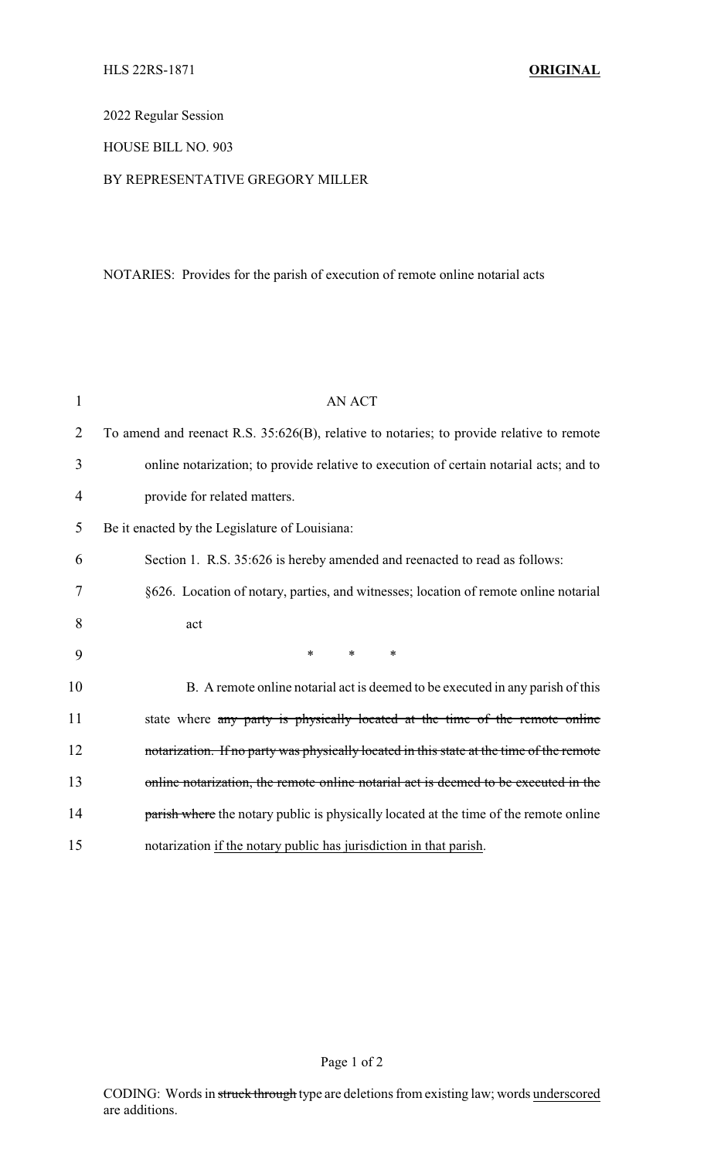# 2022 Regular Session

## HOUSE BILL NO. 903

## BY REPRESENTATIVE GREGORY MILLER

# NOTARIES: Provides for the parish of execution of remote online notarial acts

| 1              | <b>AN ACT</b>                                                                            |
|----------------|------------------------------------------------------------------------------------------|
| 2              | To amend and reenact R.S. 35:626(B), relative to notaries; to provide relative to remote |
| 3              | online notarization; to provide relative to execution of certain notarial acts; and to   |
| $\overline{4}$ | provide for related matters.                                                             |
| 5              | Be it enacted by the Legislature of Louisiana:                                           |
| 6              | Section 1. R.S. 35:626 is hereby amended and reenacted to read as follows:               |
| 7              | §626. Location of notary, parties, and witnesses; location of remote online notarial     |
| 8              | act                                                                                      |
| 9              | $\ast$<br>$\ast$<br>$\ast$                                                               |
| 10             | B. A remote online notarial act is deemed to be executed in any parish of this           |
| 11             | state where any party is physically located at the time of the remote online             |
| 12             | notarization. If no party was physically located in this state at the time of the remote |
| 13             | online notarization, the remote online notarial act is deemed to be executed in the      |
| 14             | parish where the notary public is physically located at the time of the remote online    |
| 15             | notarization if the notary public has jurisdiction in that parish.                       |